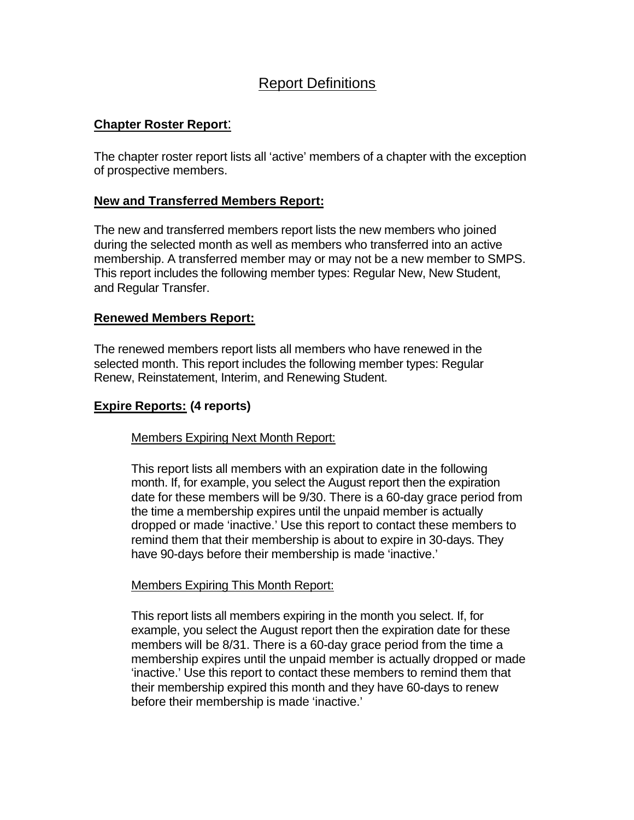# Report Definitions

## **Chapter Roster Report**:

The chapter roster report lists all 'active' members of a chapter with the exception of prospective members.

#### **New and Transferred Members Report:**

The new and transferred members report lists the new members who joined during the selected month as well as members who transferred into an active membership. A transferred member may or may not be a new member to SMPS. This report includes the following member types: Regular New, New Student, and Regular Transfer.

#### **Renewed Members Report:**

The renewed members report lists all members who have renewed in the selected month. This report includes the following member types: Regular Renew, Reinstatement, Interim, and Renewing Student.

## **Expire Reports: (4 reports)**

Members Expiring Next Month Report:

This report lists all members with an expiration date in the following month. If, for example, you select the August report then the expiration date for these members will be 9/30. There is a 60-day grace period from the time a membership expires until the unpaid member is actually dropped or made 'inactive.' Use this report to contact these members to remind them that their membership is about to expire in 30-days. They have 90-days before their membership is made 'inactive.'

#### Members Expiring This Month Report:

This report lists all members expiring in the month you select. If, for example, you select the August report then the expiration date for these members will be 8/31. There is a 60-day grace period from the time a membership expires until the unpaid member is actually dropped or made 'inactive.' Use this report to contact these members to remind them that their membership expired this month and they have 60-days to renew before their membership is made 'inactive.'